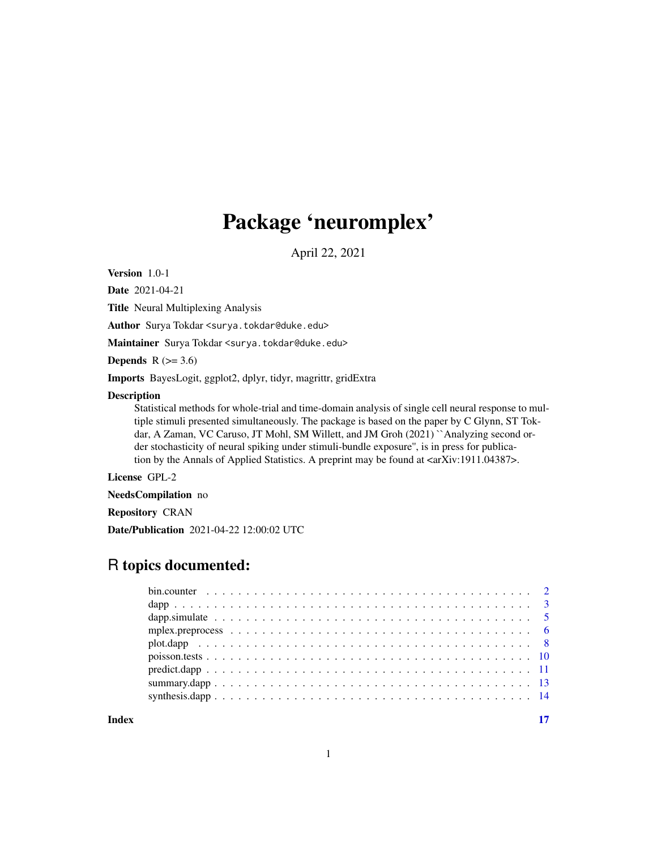## Package 'neuromplex'

April 22, 2021

Version 1.0-1

Date 2021-04-21

Title Neural Multiplexing Analysis

Author Surya Tokdar <surya.tokdar@duke.edu>

Maintainer Surya Tokdar <surya.tokdar@duke.edu>

Depends  $R$  ( $>= 3.6$ )

Imports BayesLogit, ggplot2, dplyr, tidyr, magrittr, gridExtra

### Description

Statistical methods for whole-trial and time-domain analysis of single cell neural response to multiple stimuli presented simultaneously. The package is based on the paper by C Glynn, ST Tokdar, A Zaman, VC Caruso, JT Mohl, SM Willett, and JM Groh (2021) ``Analyzing second order stochasticity of neural spiking under stimuli-bundle exposure'', is in press for publication by the Annals of Applied Statistics. A preprint may be found at <arXiv:1911.04387>.

License GPL-2

NeedsCompilation no

Repository CRAN

Date/Publication 2021-04-22 12:00:02 UTC

## R topics documented:

**Index** [17](#page-16-0)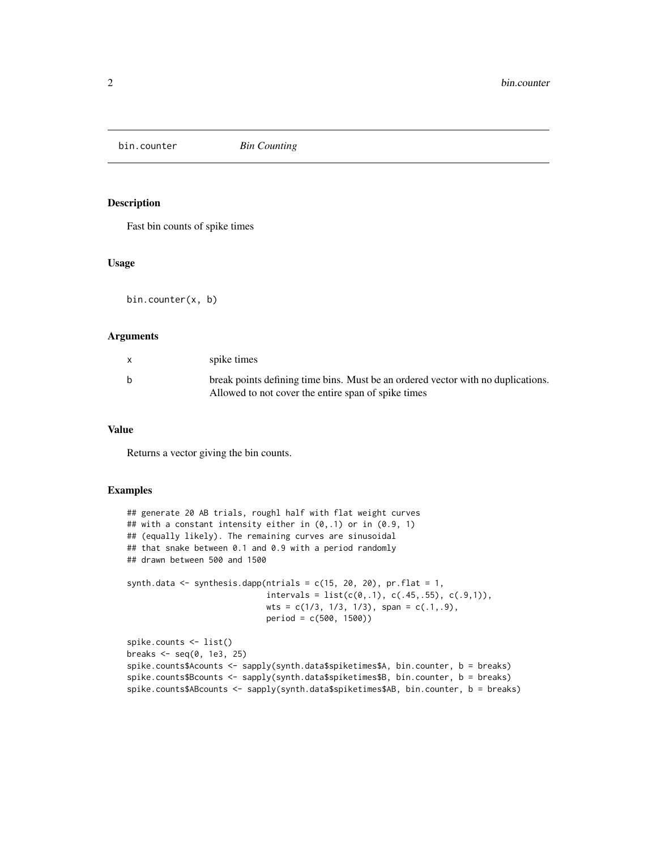<span id="page-1-0"></span>bin.counter *Bin Counting*

## Description

Fast bin counts of spike times

## Usage

bin.counter(x, b)

## Arguments

| $\mathsf{x}$ | spike times                                                                                                                             |
|--------------|-----------------------------------------------------------------------------------------------------------------------------------------|
| h,           | break points defining time bins. Must be an ordered vector with no duplications.<br>Allowed to not cover the entire span of spike times |

## Value

Returns a vector giving the bin counts.

```
## generate 20 AB trials, roughl half with flat weight curves
## with a constant intensity either in (0,.1) or in (0.9, 1)
## (equally likely). The remaining curves are sinusoidal
## that snake between 0.1 and 0.9 with a period randomly
## drawn between 500 and 1500
synth.data \leq synthesis.dapp(ntrials = c(15, 20, 20), pr.flat = 1,
                             intervals = list(c(0, .1), c(.45, .55), c(.9, 1)),wts = c(1/3, 1/3, 1/3), span = c(.1, .9),
                             period = c(500, 1500))
spike.counts <- list()
breaks <- seq(0, 1e3, 25)
spike.counts$Acounts <- sapply(synth.data$spiketimes$A, bin.counter, b = breaks)
spike.counts$Bcounts <- sapply(synth.data$spiketimes$B, bin.counter, b = breaks)
```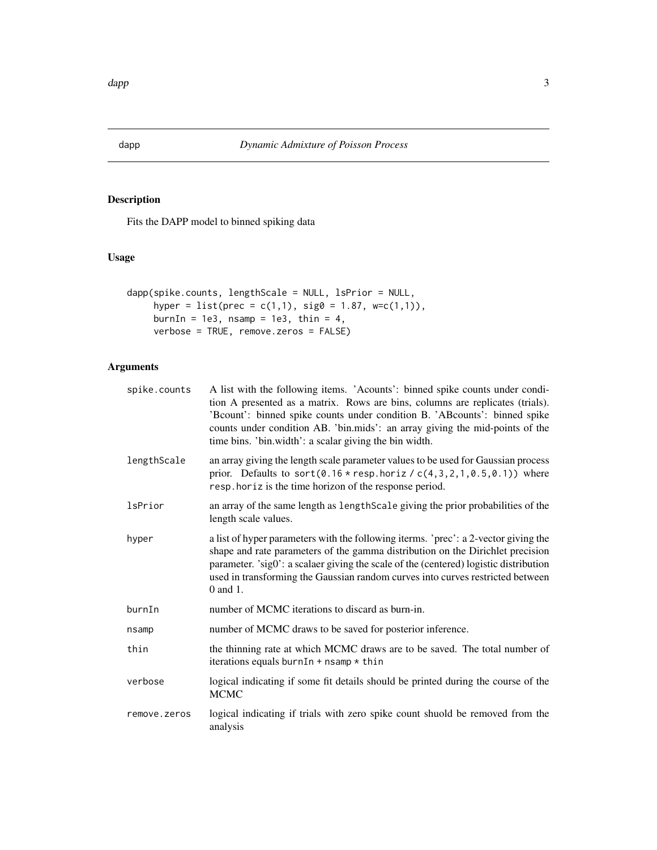<span id="page-2-1"></span><span id="page-2-0"></span>

## Description

Fits the DAPP model to binned spiking data

## Usage

```
dapp(spike.counts, lengthScale = NULL, lsPrior = NULL,
    hyper = list(prec = c(1,1), sig0 = 1.87, w=c(1,1)),burnIn = 1e3, nsamp = 1e3, thin = 4,
    verbose = TRUE, remove.zeros = FALSE)
```

| spike.counts   | A list with the following items. 'Acounts': binned spike counts under condi-<br>tion A presented as a matrix. Rows are bins, columns are replicates (trials).<br>'Bcount': binned spike counts under condition B. 'ABcounts': binned spike<br>counts under condition AB. 'bin.mids': an array giving the mid-points of the<br>time bins. 'bin.width': a scalar giving the bin width. |
|----------------|--------------------------------------------------------------------------------------------------------------------------------------------------------------------------------------------------------------------------------------------------------------------------------------------------------------------------------------------------------------------------------------|
| lengthScale    | an array giving the length scale parameter values to be used for Gaussian process<br>prior. Defaults to sort(0.16 $*$ resp.horiz / c(4,3,2,1,0.5,0.1)) where<br>resp. hor iz is the time horizon of the response period.                                                                                                                                                             |
| <b>lsPrior</b> | an array of the same length as length Scale giving the prior probabilities of the<br>length scale values.                                                                                                                                                                                                                                                                            |
| hyper          | a list of hyper parameters with the following iterms. 'prec': a 2-vector giving the<br>shape and rate parameters of the gamma distribution on the Dirichlet precision<br>parameter. 'sig0': a scalaer giving the scale of the (centered) logistic distribution<br>used in transforming the Gaussian random curves into curves restricted between<br>0 and 1.                         |
| burnIn         | number of MCMC iterations to discard as burn-in.                                                                                                                                                                                                                                                                                                                                     |
| nsamp          | number of MCMC draws to be saved for posterior inference.                                                                                                                                                                                                                                                                                                                            |
| thin           | the thinning rate at which MCMC draws are to be saved. The total number of<br>iterations equals burnIn + $n$ samp $*$ thin                                                                                                                                                                                                                                                           |
| verbose        | logical indicating if some fit details should be printed during the course of the<br><b>MCMC</b>                                                                                                                                                                                                                                                                                     |
| remove.zeros   | logical indicating if trials with zero spike count shuold be removed from the<br>analysis                                                                                                                                                                                                                                                                                            |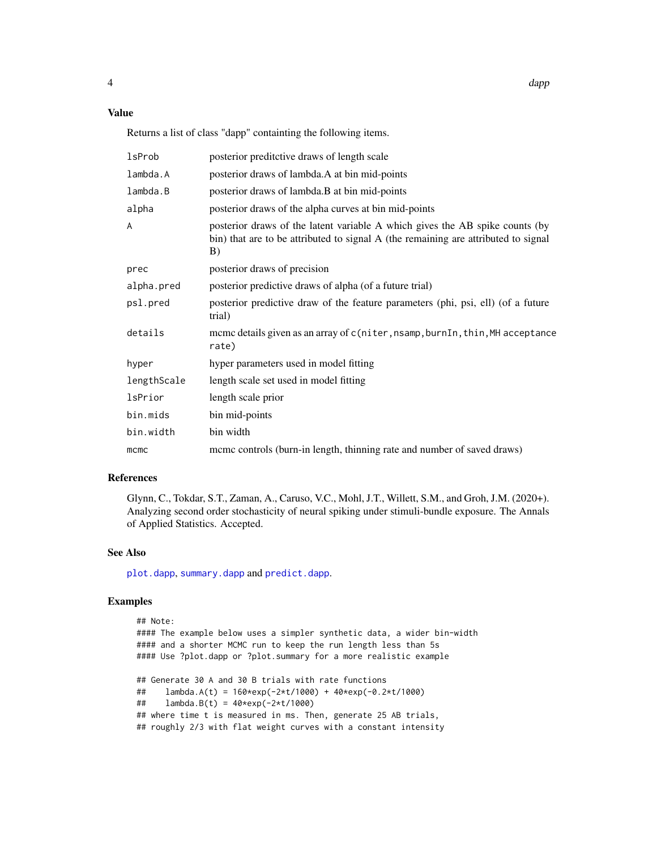## <span id="page-3-0"></span>Value

Returns a list of class "dapp" containting the following items.

| <b>lsProb</b> | posterior preditctive draws of length scale                                                                                                                              |
|---------------|--------------------------------------------------------------------------------------------------------------------------------------------------------------------------|
| lambda.A      | posterior draws of lambda. A at bin mid-points                                                                                                                           |
| lambda.B      | posterior draws of lambda.B at bin mid-points                                                                                                                            |
| alpha         | posterior draws of the alpha curves at bin mid-points                                                                                                                    |
| A             | posterior draws of the latent variable A which gives the AB spike counts (by<br>bin) that are to be attributed to signal A (the remaining are attributed to signal<br>B) |
| prec          | posterior draws of precision                                                                                                                                             |
| alpha.pred    | posterior predictive draws of alpha (of a future trial)                                                                                                                  |
| psl.pred      | posterior predictive draw of the feature parameters (phi, psi, ell) (of a future<br>trial)                                                                               |
| details       | mcmc details given as an array of c(niter, nsamp, burnIn, thin, MH acceptance<br>rate)                                                                                   |
| hyper         | hyper parameters used in model fitting                                                                                                                                   |
| lengthScale   | length scale set used in model fitting                                                                                                                                   |
| lsPrior       | length scale prior                                                                                                                                                       |
| bin.mids      | bin mid-points                                                                                                                                                           |
| bin.width     | bin width                                                                                                                                                                |
| mcmc          | meme controls (burn-in length, thinning rate and number of saved draws)                                                                                                  |

## References

Glynn, C., Tokdar, S.T., Zaman, A., Caruso, V.C., Mohl, J.T., Willett, S.M., and Groh, J.M. (2020+). Analyzing second order stochasticity of neural spiking under stimuli-bundle exposure. The Annals of Applied Statistics. Accepted.

## See Also

[plot.dapp](#page-7-1), [summary.dapp](#page-12-1) and [predict.dapp](#page-10-1).

```
## Note:
#### The example below uses a simpler synthetic data, a wider bin-width
#### and a shorter MCMC run to keep the run length less than 5s
#### Use ?plot.dapp or ?plot.summary for a more realistic example
## Generate 30 A and 30 B trials with rate functions
## lambda.A(t) = 160*exp(-2*t/1000) + 40*exp(-0.2*t/1000)
## lambda.B(t) = 40*exp(-2*t/1000)
## where time t is measured in ms. Then, generate 25 AB trials,
## roughly 2/3 with flat weight curves with a constant intensity
```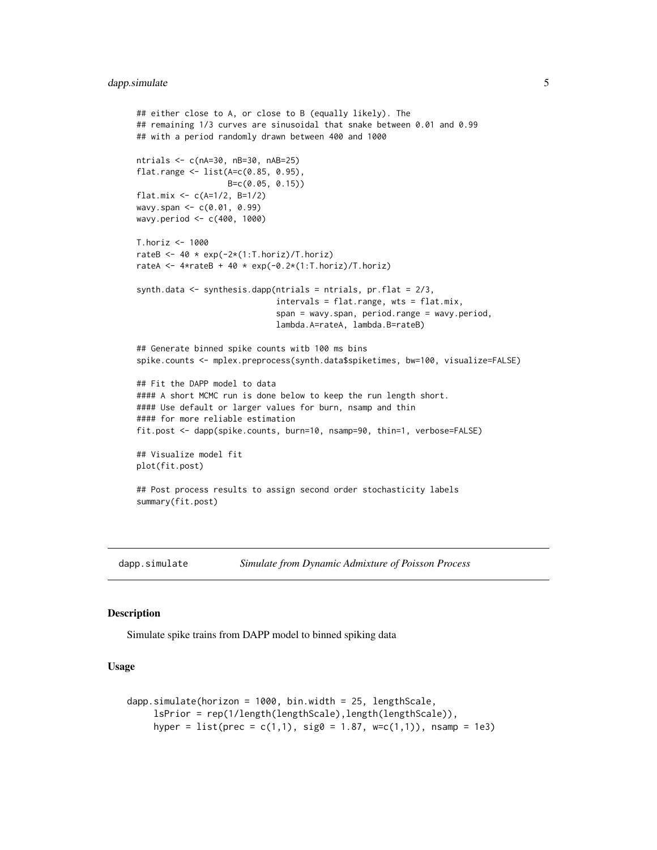```
## either close to A, or close to B (equally likely). The
## remaining 1/3 curves are sinusoidal that snake between 0.01 and 0.99
## with a period randomly drawn between 400 and 1000
ntrials <- c(nA=30, nB=30, nAB=25)
flat.range <- list(A=c(0.85, 0.95),
                   B=c(0.05, 0.15))
flat.mix \leq c(A=1/2, B=1/2)
wavy.span <- c(0.01, 0.99)
wavy.period <- c(400, 1000)
T.horiz <- 1000
rateB <- 40 \times \exp(-2*(1:T.horiz)/T.horiz)rateA <- 4*rateB + 40 * exp(-0.2*(1:T.horiz)/T.horiz)synth.data \leq synthesis.dapp(ntrials = ntrials, pr.flat = 2/3,
                             intervals = flat.range, wts = flat.mix,
                             span = wavy.span, period.range = wavy.period,
                             lambda.A=rateA, lambda.B=rateB)
## Generate binned spike counts witb 100 ms bins
spike.counts <- mplex.preprocess(synth.data$spiketimes, bw=100, visualize=FALSE)
## Fit the DAPP model to data
#### A short MCMC run is done below to keep the run length short.
#### Use default or larger values for burn, nsamp and thin
#### for more reliable estimation
fit.post <- dapp(spike.counts, burn=10, nsamp=90, thin=1, verbose=FALSE)
## Visualize model fit
plot(fit.post)
## Post process results to assign second order stochasticity labels
summary(fit.post)
```
dapp.simulate *Simulate from Dynamic Admixture of Poisson Process*

## Description

Simulate spike trains from DAPP model to binned spiking data

### Usage

```
dapp.simulate(horizon = 1000, bin.width = 25, lengthScale,
     lsPrior = rep(1/length(lengthScale),length(lengthScale)),
     hyper = list(prec = c(1,1), sig0 = 1.87, w=c(1,1)), nsamp = 1e3)
```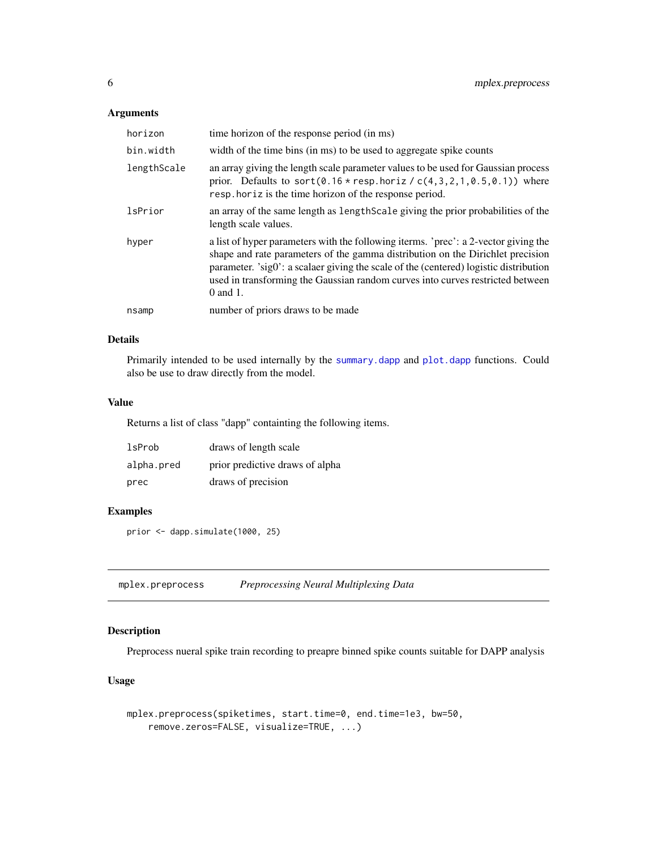## <span id="page-5-0"></span>Arguments

| horizon     | time horizon of the response period (in ms)                                                                                                                                                                                                                                                                                                                  |
|-------------|--------------------------------------------------------------------------------------------------------------------------------------------------------------------------------------------------------------------------------------------------------------------------------------------------------------------------------------------------------------|
| bin.width   | width of the time bins (in ms) to be used to aggregate spike counts                                                                                                                                                                                                                                                                                          |
| lengthScale | an array giving the length scale parameter values to be used for Gaussian process<br>prior. Defaults to sort(0.16 $*$ resp.horiz / c(4,3,2,1,0.5,0.1)) where<br>resp. horiz is the time horizon of the response period.                                                                                                                                      |
| lsPrior     | an array of the same length as length Scale giving the prior probabilities of the<br>length scale values.                                                                                                                                                                                                                                                    |
| hyper       | a list of hyper parameters with the following iterms. 'prec': a 2-vector giving the<br>shape and rate parameters of the gamma distribution on the Dirichlet precision<br>parameter. 'sig0': a scalaer giving the scale of the (centered) logistic distribution<br>used in transforming the Gaussian random curves into curves restricted between<br>0 and 1. |
| nsamp       | number of priors draws to be made                                                                                                                                                                                                                                                                                                                            |

## Details

Primarily intended to be used internally by the [summary.dapp](#page-12-1) and [plot.dapp](#page-7-1) functions. Could also be use to draw directly from the model.

## Value

Returns a list of class "dapp" containting the following items.

| lsProb     | draws of length scale           |
|------------|---------------------------------|
| alpha.pred | prior predictive draws of alpha |
| prec       | draws of precision              |

## Examples

prior <- dapp.simulate(1000, 25)

mplex.preprocess *Preprocessing Neural Multiplexing Data*

## Description

Preprocess nueral spike train recording to preapre binned spike counts suitable for DAPP analysis

## Usage

```
mplex.preprocess(spiketimes, start.time=0, end.time=1e3, bw=50,
   remove.zeros=FALSE, visualize=TRUE, ...)
```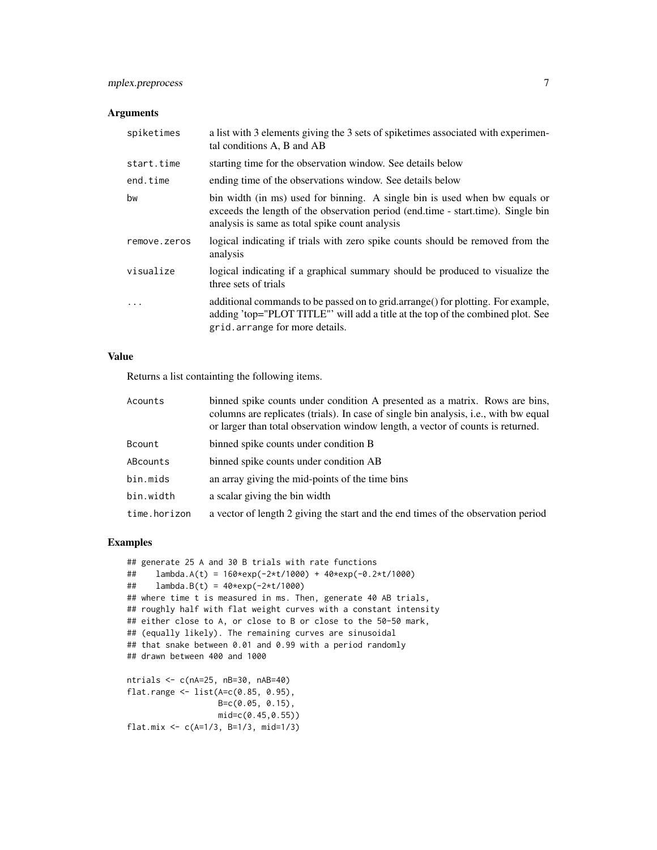## mplex.preprocess 7

## Arguments

| spiketimes   | a list with 3 elements giving the 3 sets of spiketimes associated with experimen-<br>tal conditions A, B and AB                                                                                                  |
|--------------|------------------------------------------------------------------------------------------------------------------------------------------------------------------------------------------------------------------|
| start.time   | starting time for the observation window. See details below                                                                                                                                                      |
| end.time     | ending time of the observations window. See details below                                                                                                                                                        |
| bw           | bin width (in ms) used for binning. A single bin is used when bw equals or<br>exceeds the length of the observation period (end.time - start.time). Single bin<br>analysis is same as total spike count analysis |
| remove.zeros | logical indicating if trials with zero spike counts should be removed from the<br>analysis                                                                                                                       |
| visualize    | logical indicating if a graphical summary should be produced to visualize the<br>three sets of trials                                                                                                            |
| .            | additional commands to be passed on to grid.arrange() for plotting. For example,<br>adding 'top="PLOT TITLE"' will add a title at the top of the combined plot. See<br>grid.arrange for more details.            |

## Value

Returns a list containting the following items.

| Acounts      | binned spike counts under condition A presented as a matrix. Rows are bins,<br>columns are replicates (trials). In case of single bin analysis, i.e., with bw equal<br>or larger than total observation window length, a vector of counts is returned. |
|--------------|--------------------------------------------------------------------------------------------------------------------------------------------------------------------------------------------------------------------------------------------------------|
| Bcount       | binned spike counts under condition B                                                                                                                                                                                                                  |
| ABcounts     | binned spike counts under condition AB                                                                                                                                                                                                                 |
| bin.mids     | an array giving the mid-points of the time bins                                                                                                                                                                                                        |
| bin.width    | a scalar giving the bin width                                                                                                                                                                                                                          |
| time.horizon | a vector of length 2 giving the start and the end times of the observation period                                                                                                                                                                      |

```
## generate 25 A and 30 B trials with rate functions
## lambda.A(t) = 160*exp(-2*t/1000) + 40*exp(-0.2*t/1000)
## lambda.B(t) = 40*exp(-2*t/1000)
## where time t is measured in ms. Then, generate 40 AB trials,
## roughly half with flat weight curves with a constant intensity
## either close to A, or close to B or close to the 50-50 mark,
## (equally likely). The remaining curves are sinusoidal
## that snake between 0.01 and 0.99 with a period randomly
## drawn between 400 and 1000
ntrials <- c(nA=25, nB=30, nAB=40)
flat.range <- list(A = c(0.85, 0.95),
                  B=c(0.05, 0.15),
                  mid=c(0.45,0.55))
flat.mix <- c(A=1/3, B=1/3, mid=1/3)
```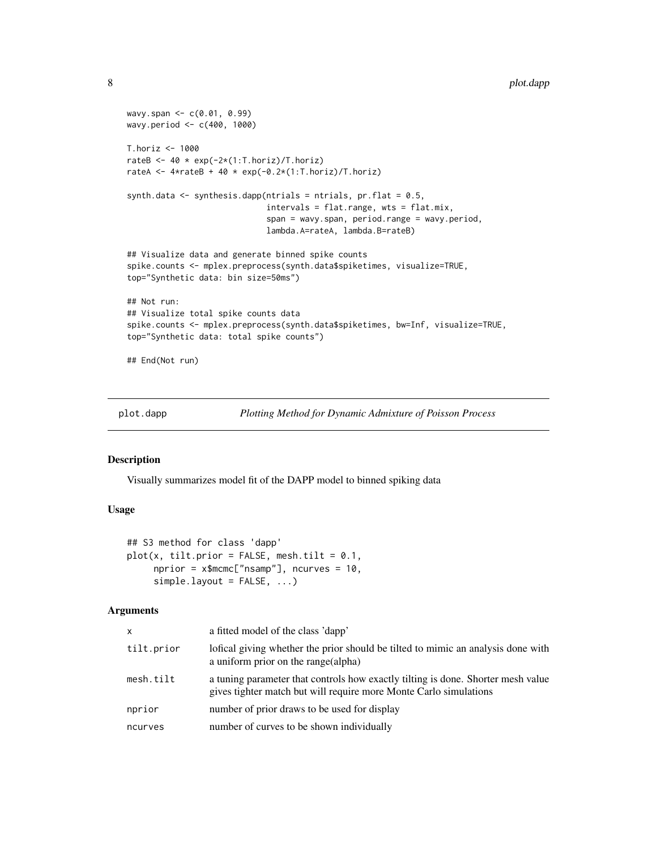```
wavy.span <- c(0.01, 0.99)
wavy.period <- c(400, 1000)
T.horiz <- 1000
rateB <- 40 * exp(-2*(1:T.horiz)/T.horiz)
rateA <- 4*rateB + 40 * exp(-0.2*(1:T.horiz)/T.horiz)synth.data \leq synthesis.dapp(ntrials = ntrials, pr.flat = 0.5,
                             intervals = flat.range, wts = flat.mix,
                             span = wavy.span, period.range = wavy.period,
                             lambda.A=rateA, lambda.B=rateB)
## Visualize data and generate binned spike counts
spike.counts <- mplex.preprocess(synth.data$spiketimes, visualize=TRUE,
top="Synthetic data: bin size=50ms")
## Not run:
## Visualize total spike counts data
spike.counts <- mplex.preprocess(synth.data$spiketimes, bw=Inf, visualize=TRUE,
top="Synthetic data: total spike counts")
## End(Not run)
```
<span id="page-7-1"></span>plot.dapp *Plotting Method for Dynamic Admixture of Poisson Process*

## Description

Visually summarizes model fit of the DAPP model to binned spiking data

## Usage

```
## S3 method for class 'dapp'
plot(x, tilt.prior = FALSE, mesh.tilt = 0.1,
     nprior = x$mcmc["nsamp"], ncurves = 10,
     simpleu.layout = FALSE, ...)
```

| x          | a fitted model of the class 'dapp'                                                                                                                    |
|------------|-------------------------------------------------------------------------------------------------------------------------------------------------------|
| tilt.prior | lofical giving whether the prior should be tilted to mimic an analysis done with<br>a uniform prior on the range (alpha)                              |
| mesh.tilt  | a tuning parameter that controls how exactly tilting is done. Shorter mesh value<br>gives tighter match but will require more Monte Carlo simulations |
| nprior     | number of prior draws to be used for display                                                                                                          |
| ncurves    | number of curves to be shown individually                                                                                                             |

<span id="page-7-0"></span>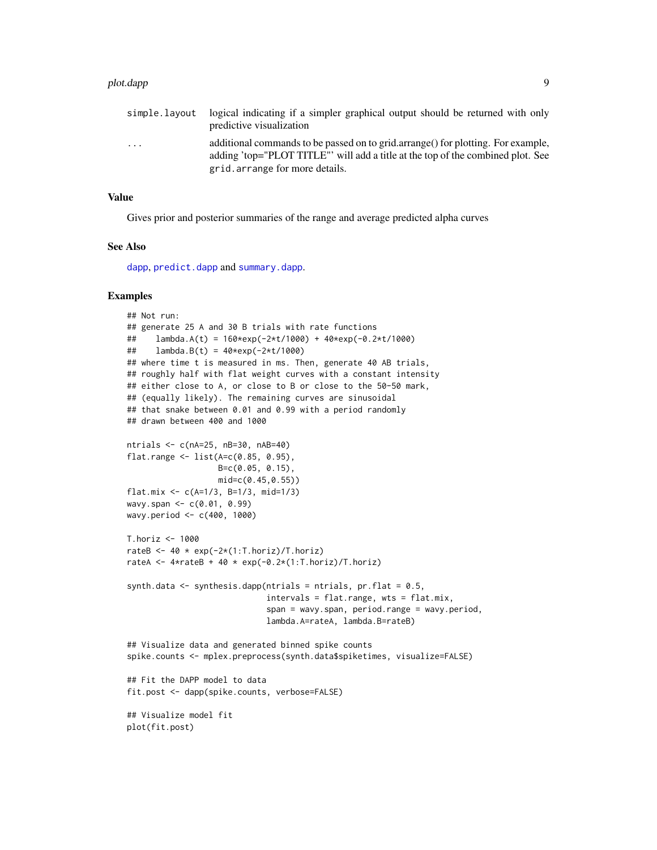### <span id="page-8-0"></span>plot.dapp 9 and 200 million of the state of the state of the state of the state of the state of the state of the state of the state of the state of the state of the state of the state of the state of the state of the state

| simple.layout | logical indicating if a simpler graphical output should be returned with only<br>predictive visualization                                                                                             |
|---------------|-------------------------------------------------------------------------------------------------------------------------------------------------------------------------------------------------------|
| .             | additional commands to be passed on to grid.arrange() for plotting. For example,<br>adding 'top="PLOT TITLE"' will add a title at the top of the combined plot. See<br>grid.arrange for more details. |

## Value

Gives prior and posterior summaries of the range and average predicted alpha curves

## See Also

[dapp](#page-2-1), [predict.dapp](#page-10-1) and [summary.dapp](#page-12-1).

```
## Not run:
## generate 25 A and 30 B trials with rate functions
## lambda.A(t) = 160*exp(-2*t/1000) + 40*exp(-0.2*t/1000)
## lambda.B(t) = 40*exp(-2*t/1000)
## where time t is measured in ms. Then, generate 40 AB trials,
## roughly half with flat weight curves with a constant intensity
## either close to A, or close to B or close to the 50-50 mark,
## (equally likely). The remaining curves are sinusoidal
## that snake between 0.01 and 0.99 with a period randomly
## drawn between 400 and 1000
ntrials <- c(nA=25, nB=30, nAB=40)
flat.range \le list(A=c(0.85, 0.95),
                   B=c(0.05, 0.15),
                   mid=c(0.45,0.55))
flat.mix <- c(A=1/3, B=1/3, mid=1/3)
wavy.span <- c(0.01, 0.99)
wavy.period <- c(400, 1000)
T.horiz <- 1000
rateB \leftarrow 40 \star exp(-2\star(1:T.horiz)/T.horiz)
rateA <- 4*rateB + 40 * exp(-0.2*(1:T.horiz)/T.horiz)synth.data \leq synthesis.dapp(ntrials = ntrials, pr.flat = 0.5,
                             intervals = flat.range, wts = flat.mix,
                             span = wavy.span, period.range = wavy.period,
                             lambda.A=rateA, lambda.B=rateB)
## Visualize data and generated binned spike counts
spike.counts <- mplex.preprocess(synth.data$spiketimes, visualize=FALSE)
## Fit the DAPP model to data
fit.post <- dapp(spike.counts, verbose=FALSE)
## Visualize model fit
plot(fit.post)
```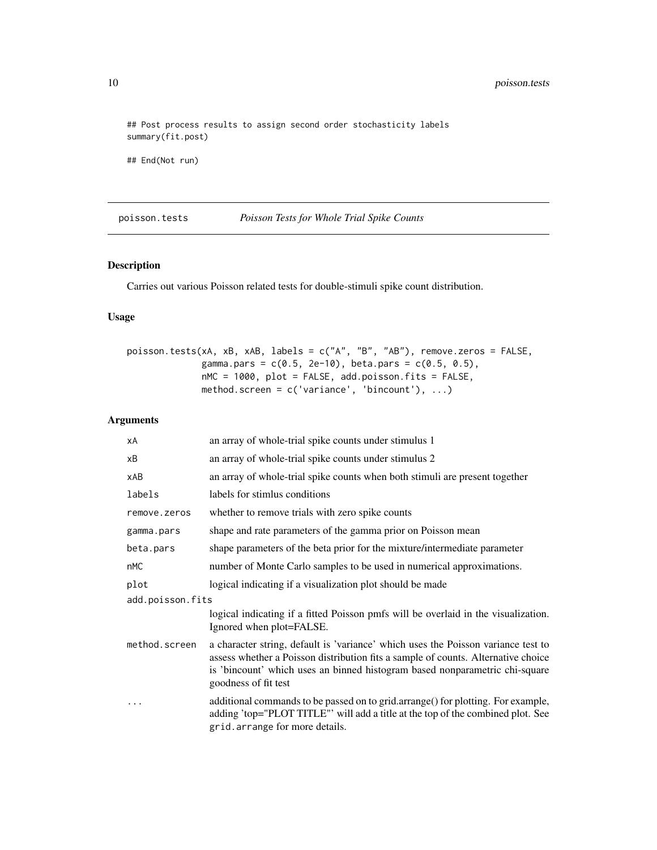## Post process results to assign second order stochasticity labels summary(fit.post)

## End(Not run)

poisson.tests *Poisson Tests for Whole Trial Spike Counts*

## Description

Carries out various Poisson related tests for double-stimuli spike count distribution.

## Usage

```
poisson.tests(xA, xB, xAB, labels = c("A", "B", "AB"), remove.zeros = FALSE,
              gamma.pars = c(0.5, 2e-10), beta.pars = c(0.5, 0.5),
              nMC = 1000, plot = FALSE, add.poisson.fits = FALSE,
              method.screen = c('variance', 'bincount'), ...)
```

| хA               | an array of whole-trial spike counts under stimulus 1                                                                                                                                                                                                                         |
|------------------|-------------------------------------------------------------------------------------------------------------------------------------------------------------------------------------------------------------------------------------------------------------------------------|
| хB               | an array of whole-trial spike counts under stimulus 2                                                                                                                                                                                                                         |
| xAB              | an array of whole-trial spike counts when both stimuli are present together                                                                                                                                                                                                   |
| labels           | labels for stimlus conditions                                                                                                                                                                                                                                                 |
| remove.zeros     | whether to remove trials with zero spike counts                                                                                                                                                                                                                               |
| gamma.pars       | shape and rate parameters of the gamma prior on Poisson mean                                                                                                                                                                                                                  |
| beta.pars        | shape parameters of the beta prior for the mixture/intermediate parameter                                                                                                                                                                                                     |
| nMC              | number of Monte Carlo samples to be used in numerical approximations.                                                                                                                                                                                                         |
| plot             | logical indicating if a visualization plot should be made                                                                                                                                                                                                                     |
| add.poisson.fits |                                                                                                                                                                                                                                                                               |
|                  | logical indicating if a fitted Poisson pmfs will be overlaid in the visualization.<br>Ignored when plot=FALSE.                                                                                                                                                                |
| method.screen    | a character string, default is 'variance' which uses the Poisson variance test to<br>assess whether a Poisson distribution fits a sample of counts. Alternative choice<br>is 'bincount' which uses an binned histogram based nonparametric chi-square<br>goodness of fit test |
| .                | additional commands to be passed on to grid.arrange() for plotting. For example,<br>adding 'top="PLOT TITLE"' will add a title at the top of the combined plot. See<br>grid. arrange for more details.                                                                        |

<span id="page-9-0"></span>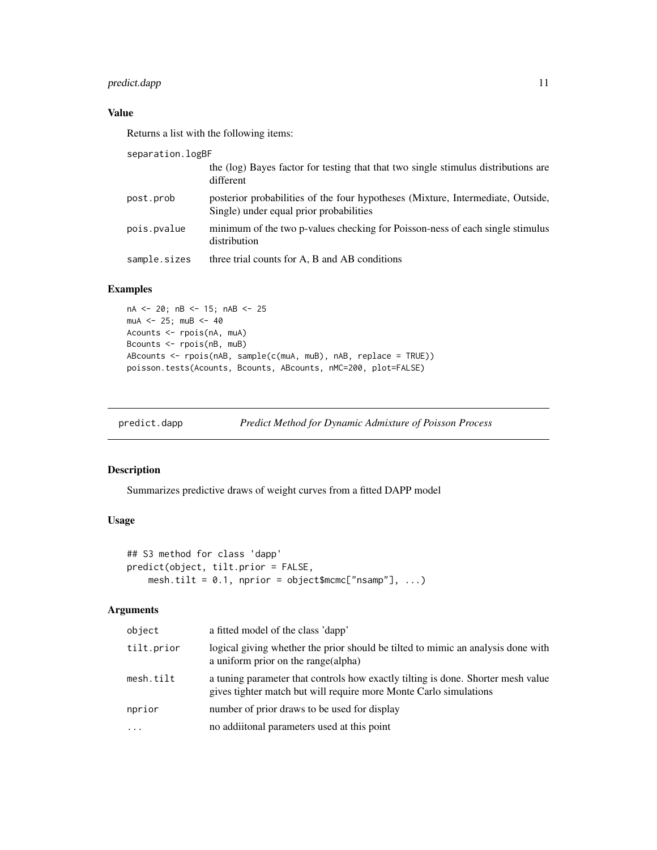## <span id="page-10-0"></span>predict.dapp 11

## Value

Returns a list with the following items:

separation.logBF

|              | the (log) Bayes factor for testing that that two single stimulus distributions are<br>different                            |
|--------------|----------------------------------------------------------------------------------------------------------------------------|
| post.prob    | posterior probabilities of the four hypotheses (Mixture, Intermediate, Outside,<br>Single) under equal prior probabilities |
| pois.pvalue  | minimum of the two p-values checking for Poisson-ness of each single stimulus<br>distribution                              |
| sample.sizes | three trial counts for A, B and AB conditions                                                                              |

## Examples

```
nA <- 20; nB <- 15; nAB <- 25
mUA < -25; mUB < -40Acounts <- rpois(nA, muA)
Bcounts <- rpois(nB, muB)
ABcounts <- rpois(nAB, sample(c(muA, muB), nAB, replace = TRUE))
poisson.tests(Acounts, Bcounts, ABcounts, nMC=200, plot=FALSE)
```
<span id="page-10-1"></span>

| predict.dapp | Predict Method for Dynamic Admixture of Poisson Process |
|--------------|---------------------------------------------------------|
|              |                                                         |

## Description

Summarizes predictive draws of weight curves from a fitted DAPP model

## Usage

```
## S3 method for class 'dapp'
predict(object, tilt.prior = FALSE,
   mesh.tilt = 0.1, nprior = object$mcmc["nsamp"], ...)
```

| object     | a fitted model of the class 'dapp'                                                                                                                    |
|------------|-------------------------------------------------------------------------------------------------------------------------------------------------------|
| tilt.prior | logical giving whether the prior should be tilted to mimic an analysis done with<br>a uniform prior on the range (alpha)                              |
| mesh.tilt  | a tuning parameter that controls how exactly tilting is done. Shorter mesh value<br>gives tighter match but will require more Monte Carlo simulations |
| nprior     | number of prior draws to be used for display                                                                                                          |
| $\ddotsc$  | no additional parameters used at this point                                                                                                           |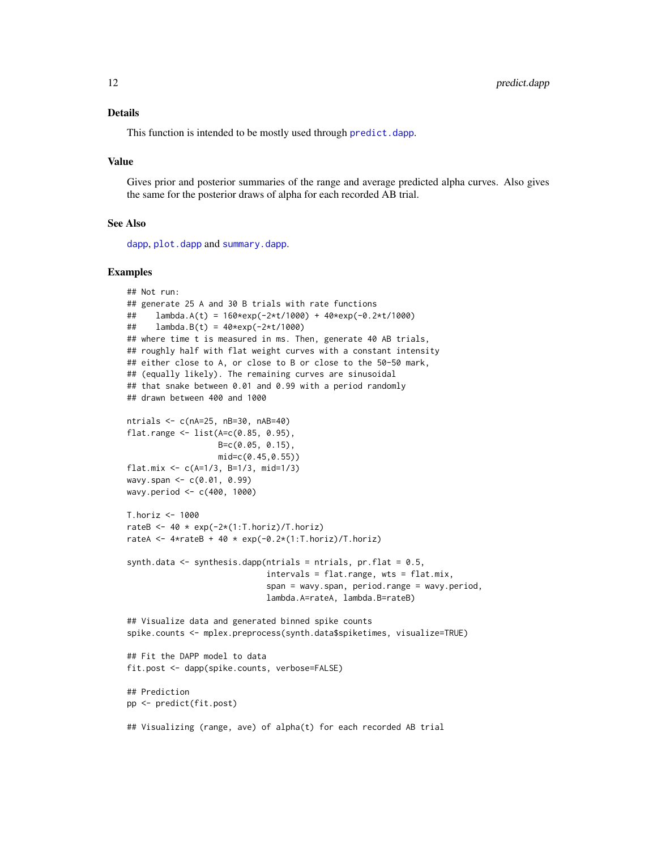## <span id="page-11-0"></span>Details

This function is intended to be mostly used through **predict**.dapp.

#### Value

Gives prior and posterior summaries of the range and average predicted alpha curves. Also gives the same for the posterior draws of alpha for each recorded AB trial.

### See Also

[dapp](#page-2-1), [plot.dapp](#page-7-1) and [summary.dapp](#page-12-1).

```
## Not run:
## generate 25 A and 30 B trials with rate functions
## lambda.A(t) = 160*exp(-2*t/1000) + 40*exp(-0.2*t/1000)
## lambda.B(t) = 40*exp(-2*t/1000)
## where time t is measured in ms. Then, generate 40 AB trials,
## roughly half with flat weight curves with a constant intensity
## either close to A, or close to B or close to the 50-50 mark,
## (equally likely). The remaining curves are sinusoidal
## that snake between 0.01 and 0.99 with a period randomly
## drawn between 400 and 1000
ntrials <- c(nA=25, nB=30, nAB=40)
flat.range \le list(A=c(0.85, 0.95),
                   B=c(0.05, 0.15),
                   mid=c(0.45,0.55))
flat.mix <- c(A=1/3, B=1/3, mid=1/3)
wavy.span <- c(0.01, 0.99)
wavy.period <- c(400, 1000)
T.horiz <- 1000
rateB \leq 40 \star exp(-2\star(1:T.horiz)/T.horiz)
rateA <- 4*rateB + 40 * exp(-0.2*(1:T.horiz)/T.horiz)synth.data \leq synthesis.dapp(ntrials = ntrials, pr.flat = 0.5,
                             intervals = flat.range, wts = flat.mix,
                             span = wavy.span, period.range = wavy.period,
                             lambda.A=rateA, lambda.B=rateB)
## Visualize data and generated binned spike counts
spike.counts <- mplex.preprocess(synth.data$spiketimes, visualize=TRUE)
## Fit the DAPP model to data
fit.post <- dapp(spike.counts, verbose=FALSE)
## Prediction
pp <- predict(fit.post)
## Visualizing (range, ave) of alpha(t) for each recorded AB trial
```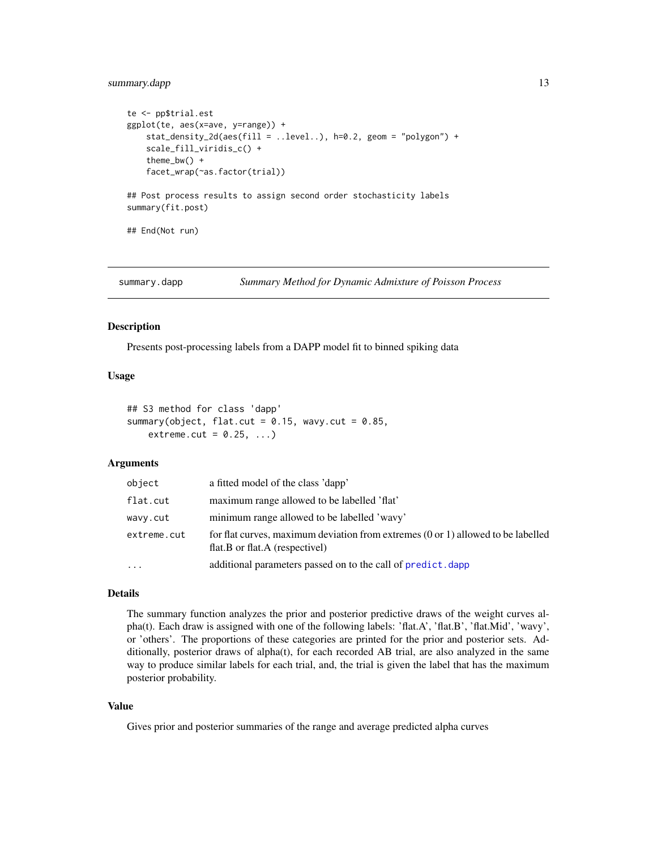## <span id="page-12-0"></span>summary.dapp 13

```
te <- pp$trial.est
ggplot(te, aes(x=ave, y=range)) +
   stat_density_2d(aes(fill = ..level..), h=0.2, geom = "polygon") +
   scale_fill_viridis_c() +
   theme_bw() +
   facet_wrap(~as.factor(trial))
## Post process results to assign second order stochasticity labels
summary(fit.post)
## End(Not run)
```
<span id="page-12-1"></span>summary.dapp *Summary Method for Dynamic Admixture of Poisson Process*

## Description

Presents post-processing labels from a DAPP model fit to binned spiking data

## Usage

```
## S3 method for class 'dapp'
summary(object, flat.cut = 0.15, wavy.cut = 0.85,
   extreme.cut = 0.25, ...
```
#### Arguments

| object      | a fitted model of the class 'dapp'                                                                                 |
|-------------|--------------------------------------------------------------------------------------------------------------------|
| flat.cut    | maximum range allowed to be labelled 'flat'                                                                        |
| wavy.cut    | minimum range allowed to be labelled 'wavy'                                                                        |
| extreme.cut | for flat curves, maximum deviation from extremes (0 or 1) allowed to be labelled<br>flat.B or flat.A (respectivel) |
| $\ddotsc$   | additional parameters passed on to the call of predict. dapp                                                       |

#### Details

The summary function analyzes the prior and posterior predictive draws of the weight curves alpha(t). Each draw is assigned with one of the following labels: 'flat.A', 'flat.B', 'flat.Mid', 'wavy', or 'others'. The proportions of these categories are printed for the prior and posterior sets. Additionally, posterior draws of alpha(t), for each recorded AB trial, are also analyzed in the same way to produce similar labels for each trial, and, the trial is given the label that has the maximum posterior probability.

### Value

Gives prior and posterior summaries of the range and average predicted alpha curves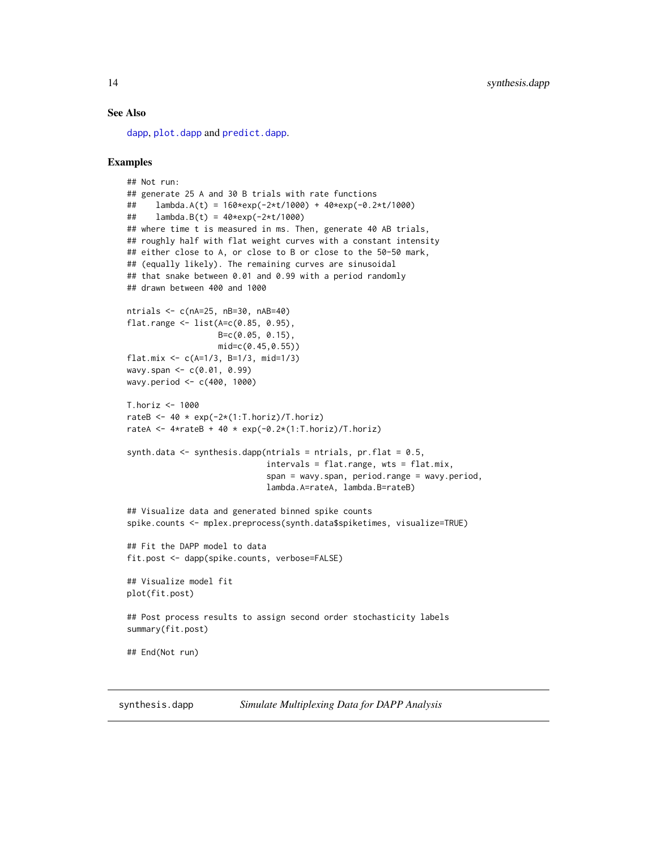## <span id="page-13-0"></span>See Also

[dapp](#page-2-1), [plot.dapp](#page-7-1) and [predict.dapp](#page-10-1).

## Examples

```
## Not run:
## generate 25 A and 30 B trials with rate functions
## lambda.A(t) = 160*exp(-2*t/1000) + 40*exp(-0.2*t/1000)
## lambda.B(t) = 40*exp(-2*t/1000)
## where time t is measured in ms. Then, generate 40 AB trials,
## roughly half with flat weight curves with a constant intensity
## either close to A, or close to B or close to the 50-50 mark,
## (equally likely). The remaining curves are sinusoidal
## that snake between 0.01 and 0.99 with a period randomly
## drawn between 400 and 1000
ntrials <- c(nA=25, nB=30, nAB=40)
flat.range \le list(A=c(0.85, 0.95),
                   B=c(0.05, 0.15),
                   mid=c(0.45,0.55))
flat.mix <- c(A=1/3, B=1/3, mid=1/3)
wavy.span <- c(0.01, 0.99)
wavy.period <- c(400, 1000)
T.horiz <- 1000
rateB <- 40 \times \exp(-2*(1:T.horiz)/T.horiz)rateA <- 4*rateB + 40 * exp(-0.2*(1:T.horiz)/T.horiz)synth.data \leq synthesis.dapp(ntrials = ntrials, pr.flat = 0.5,
                             intervals = flat.range, wts = flat.mix,
                             span = wavy.span, period.range = wavy.period,
                             lambda.A=rateA, lambda.B=rateB)
## Visualize data and generated binned spike counts
spike.counts <- mplex.preprocess(synth.data$spiketimes, visualize=TRUE)
## Fit the DAPP model to data
fit.post <- dapp(spike.counts, verbose=FALSE)
## Visualize model fit
plot(fit.post)
## Post process results to assign second order stochasticity labels
summary(fit.post)
## End(Not run)
```
synthesis.dapp *Simulate Multiplexing Data for DAPP Analysis*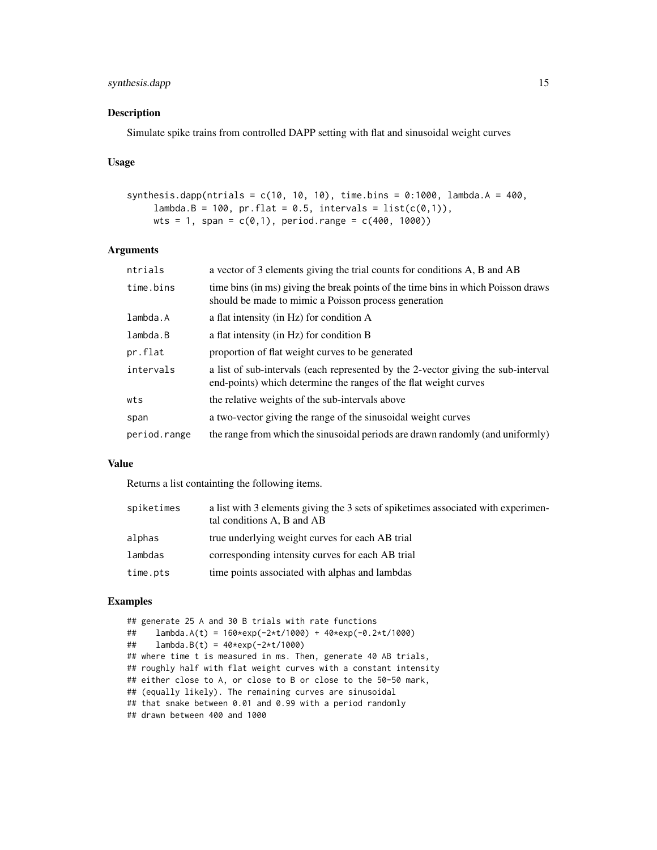## synthesis.dapp 15

## Description

Simulate spike trains from controlled DAPP setting with flat and sinusoidal weight curves

## Usage

```
synthesis.dapp(ntrials = c(10, 10, 10), time.bins = 0:1000, lambda.A = 400,
    lambda.B = 100, pr.flat = 0.5, intervals = list(c(0,1)),
    wts = 1, span = c(0,1), period.range = c(400, 1000))
```
## Arguments

| ntrials      | a vector of 3 elements giving the trial counts for conditions A, B and AB                                                                             |
|--------------|-------------------------------------------------------------------------------------------------------------------------------------------------------|
| time.bins    | time bins (in ms) giving the break points of the time bins in which Poisson draws<br>should be made to mimic a Poisson process generation             |
| lambda.A     | a flat intensity (in Hz) for condition A                                                                                                              |
| lambda.B     | a flat intensity (in Hz) for condition B                                                                                                              |
| pr.flat      | proportion of flat weight curves to be generated                                                                                                      |
| intervals    | a list of sub-intervals (each represented by the 2-vector giving the sub-interval<br>end-points) which determine the ranges of the flat weight curves |
| wts          | the relative weights of the sub-intervals above                                                                                                       |
| span         | a two-vector giving the range of the sinusoidal weight curves                                                                                         |
| period.range | the range from which the sinusoidal periods are drawn randomly (and uniformly)                                                                        |

## Value

Returns a list containting the following items.

| spiketimes | a list with 3 elements giving the 3 sets of spiketimes associated with experimen-<br>tal conditions A, B and AB |
|------------|-----------------------------------------------------------------------------------------------------------------|
| alphas     | true underlying weight curves for each AB trial                                                                 |
| lambdas    | corresponding intensity curves for each AB trial                                                                |
| time.pts   | time points associated with alphas and lambdas                                                                  |

```
## generate 25 A and 30 B trials with rate functions
## lambda.A(t) = 160*exp(-2*t/1000) + 40*exp(-0.2*t/1000)
## lambda.B(t) = 40*exp(-2*t/1000)
## where time t is measured in ms. Then, generate 40 AB trials,
## roughly half with flat weight curves with a constant intensity
## either close to A, or close to B or close to the 50-50 mark,
## (equally likely). The remaining curves are sinusoidal
## that snake between 0.01 and 0.99 with a period randomly
## drawn between 400 and 1000
```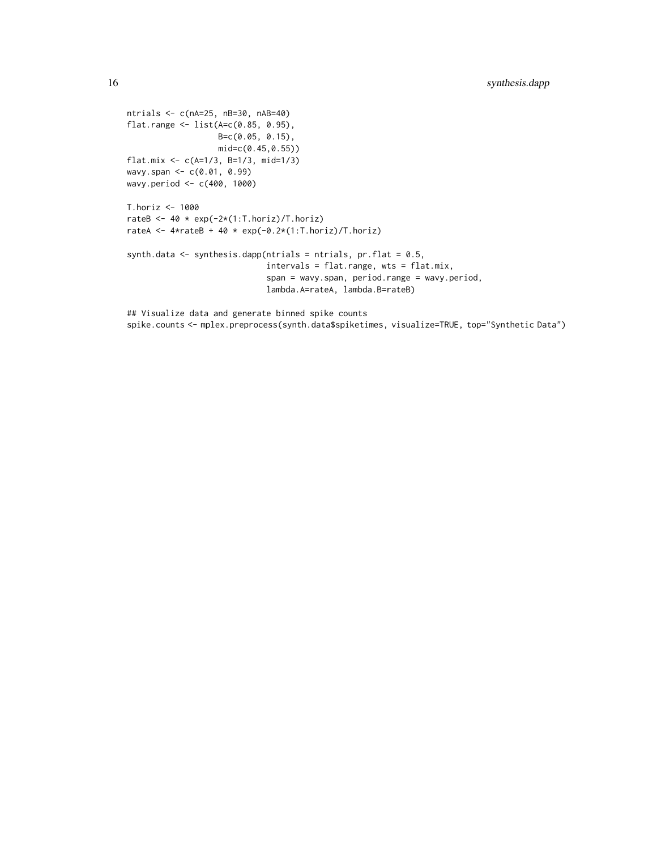```
ntrials <- c(nA=25, nB=30, nAB=40)
flat.range <- list(A=c(0.85, 0.95),
                  B=c(0.05, 0.15),
                  mid=c(0.45,0.55))
flat.mix <- c(A=1/3, B=1/3, mid=1/3)
wavy.span <- c(0.01, 0.99)
wavy.period <- c(400, 1000)
T.horiz <- 1000
rateB <- 40 * exp(-2*(1:T.horiz)/T.horiz)
rateA <- 4*rateB + 40 * exp(-0.2*(1:T.horiz)/T.horiz)synth.data \leq synthesis.dapp(ntrials = ntrials, pr.flat = 0.5,
                             intervals = flat.range, wts = flat.mix,
                             span = wavy.span, period.range = wavy.period,
                             lambda.A=rateA, lambda.B=rateB)
```

```
## Visualize data and generate binned spike counts
spike.counts <- mplex.preprocess(synth.data$spiketimes, visualize=TRUE, top="Synthetic Data")
```